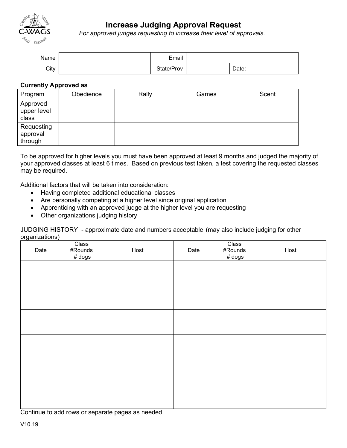

## **Increase Judging Approval Request**

*For approved judges requesting to increase their level of approvals.*

| Name | Email      |       |
|------|------------|-------|
| City | State/Prov | Date: |

## **Currently Approved as**

| Program                           | Obedience | Rally | Games | Scent |
|-----------------------------------|-----------|-------|-------|-------|
| Approved<br>upper level<br>class  |           |       |       |       |
| Requesting<br>approval<br>through |           |       |       |       |

To be approved for higher levels you must have been approved at least 9 months and judged the majority of your approved classes at least 6 times. Based on previous test taken, a test covering the requested classes may be required.

Additional factors that will be taken into consideration:

- Having completed additional educational classes
- Are personally competing at a higher level since original application
- Apprenticing with an approved judge at the higher level you are requesting
- Other organizations judging history

JUDGING HISTORY - approximate date and numbers acceptable (may also include judging for other organizations)

| Date | Class<br>#Rounds<br># dogs | Host | Date | Class<br>#Rounds<br>$#$ dogs | Host |
|------|----------------------------|------|------|------------------------------|------|
|      |                            |      |      |                              |      |
|      |                            |      |      |                              |      |
|      |                            |      |      |                              |      |
|      |                            |      |      |                              |      |
|      |                            |      |      |                              |      |
|      |                            |      |      |                              |      |
|      |                            |      |      |                              |      |

Continue to add rows or separate pages as needed.